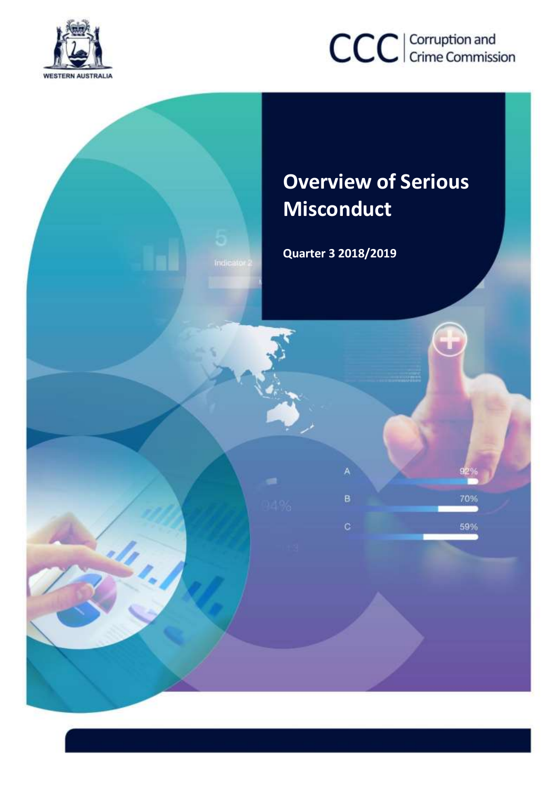

# CCC | Corruption and

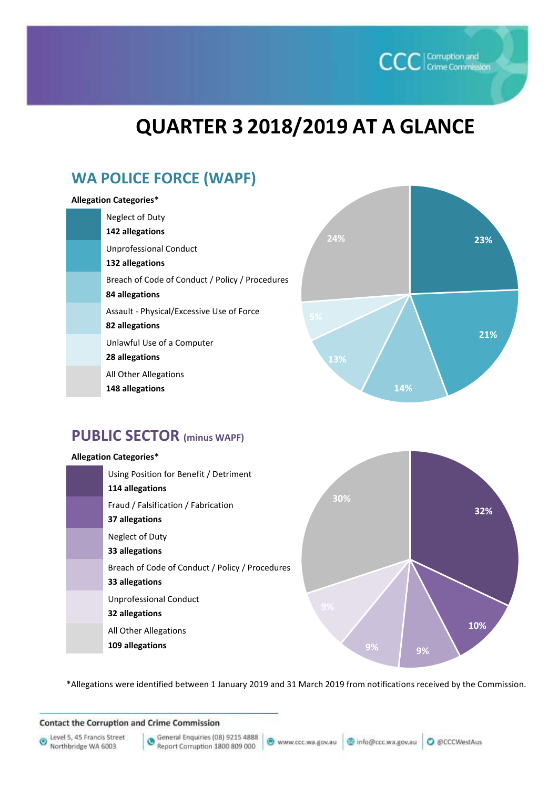## **QUARTER 3 2018/2019 AT A GLANCE**

### **WA POLICE FORCE (WAPF)**

#### **Allegation Categories\***

| Neglect of Duty                                 |
|-------------------------------------------------|
| 142 allegations                                 |
| <b>Unprofessional Conduct</b>                   |
| 132 allegations                                 |
| Breach of Code of Conduct / Policy / Procedures |
| 84 allegations                                  |
| Assault - Physical/Excessive Use of Force       |
| 82 allegations                                  |
| Unlawful Use of a Computer                      |
| 28 allegations                                  |
| All Other Allegations                           |



**CCC** Corruption and

#### **PUBLIC SECTOR (minus WAPF)**

**148 allegations** 

#### **Allegation Categories\*** Using Position for Benefit / Detriment **114 allegations** Fraud / Falsification / Fabrication **37 allegations** Neglect of Duty **33 allegations** Breach of Code of Conduct / Policy / Procedures **33 allegations** Unprofessional Conduct **32 allegations** All Other Allegations **109 allegations**



\*Allegations were identified between 1 January 2019 and 31 March 2019 from notifications received by the Commission.

**Contact the Corruption and Crime Commission** 

Level 5, 45 Francis Street O Northbridge WA 6003

General Enquiries (08) 9215 4888 G Report Corruption 1800 809 000

● www.ccc.wa.gov.au | ● info@ccc.wa.gov.au | ● @CCCWestAus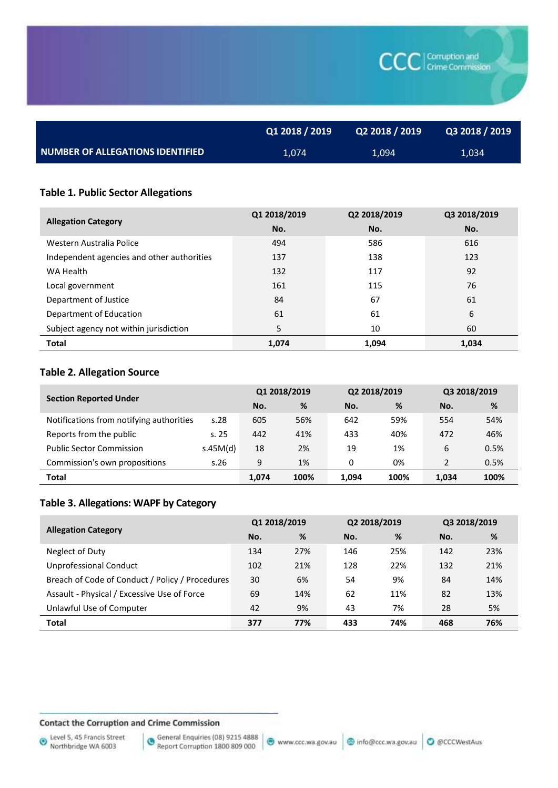|                                         | Q1 2018 / 2019 | Q2 2018 / 2019 | Q3 2018 / 2019 |
|-----------------------------------------|----------------|----------------|----------------|
| <b>NUMBER OF ALLEGATIONS IDENTIFIED</b> | 1,074          | 1,094          | 1,034          |

#### **Table 1. Public Sector Allegations**

|                                            | Q1 2018/2019 | Q2 2018/2019 | Q3 2018/2019 |
|--------------------------------------------|--------------|--------------|--------------|
| <b>Allegation Category</b>                 | No.          | No.          | No.          |
| Western Australia Police                   | 494          | 586          | 616          |
| Independent agencies and other authorities | 137          | 138          | 123          |
| WA Health                                  | 132          | 117          | 92           |
| Local government                           | 161          | 115          | 76           |
| Department of Justice                      | 84           | 67           | 61           |
| Department of Education                    | 61           | 61           | 6            |
| Subject agency not within jurisdiction     | 5            | 10           | 60           |
| <b>Total</b>                               | 1,074        | 1,094        | 1,034        |

#### **Table 2. Allegation Source**

| <b>Section Reported Under</b>            |          | Q1 2018/2019 |      | Q2 2018/2019 |      | Q3 2018/2019  |      |
|------------------------------------------|----------|--------------|------|--------------|------|---------------|------|
|                                          |          | No.          | %    | No.          | %    | No.           | %    |
| Notifications from notifying authorities | s.28     | 605          | 56%  | 642          | 59%  | 554           | 54%  |
| Reports from the public                  | s. 25    | 442          | 41%  | 433          | 40%  | 472           | 46%  |
| <b>Public Sector Commission</b>          | s.45M(d) | 18           | 2%   | 19           | 1%   | 6             | 0.5% |
| Commission's own propositions            | s.26     | 9            | 1%   | 0            | 0%   | $\mathcal{P}$ | 0.5% |
| Total                                    |          | 1,074        | 100% | 1,094        | 100% | 1,034         | 100% |

#### **Table 3. Allegations: WAPF by Category**

|                                                 | Q1 2018/2019 |     | Q2 2018/2019 |     | Q3 2018/2019 |     |
|-------------------------------------------------|--------------|-----|--------------|-----|--------------|-----|
| <b>Allegation Category</b>                      | No.          | %   | No.          | %   | No.          | %   |
| Neglect of Duty                                 | 134          | 27% | 146          | 25% | 142          | 23% |
| <b>Unprofessional Conduct</b>                   | 102          | 21% | 128          | 22% | 132          | 21% |
| Breach of Code of Conduct / Policy / Procedures | 30           | 6%  | 54           | 9%  | 84           | 14% |
| Assault - Physical / Excessive Use of Force     | 69           | 14% | 62           | 11% | 82           | 13% |
| Unlawful Use of Computer                        | 42           | 9%  | 43           | 7%  | 28           | 5%  |
| <b>Total</b>                                    | 377          | 77% | 433          | 74% | 468          | 76% |

#### **Contact the Corruption and Crime Commission**

**CCC** Corruption and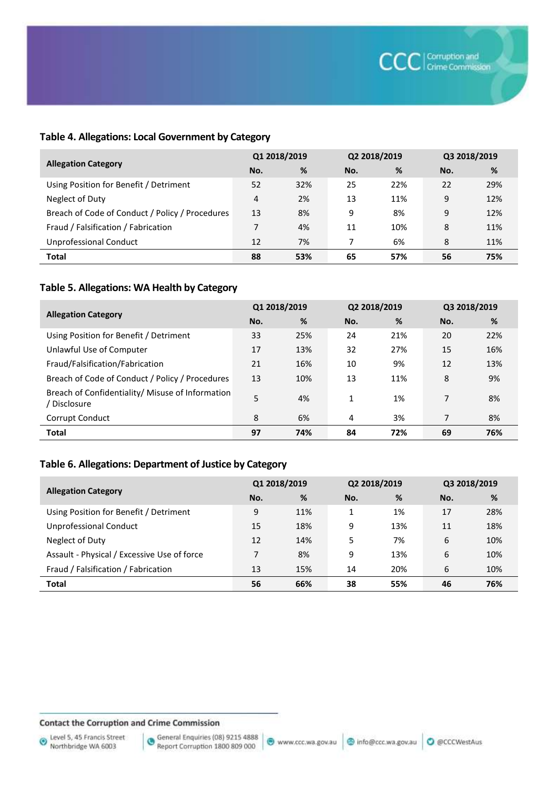#### **Table 4. Allegations: Local Government by Category**

|                                                 | Q1 2018/2019 |     | Q2 2018/2019 |     | Q3 2018/2019 |     |
|-------------------------------------------------|--------------|-----|--------------|-----|--------------|-----|
| <b>Allegation Category</b>                      | No.          | %   | No.          | %   | No.          | %   |
| Using Position for Benefit / Detriment          | 52           | 32% | 25           | 22% | 22           | 29% |
| Neglect of Duty                                 | 4            | 2%  | 13           | 11% | 9            | 12% |
| Breach of Code of Conduct / Policy / Procedures | 13           | 8%  | 9            | 8%  | 9            | 12% |
| Fraud / Falsification / Fabrication             | 7            | 4%  | 11           | 10% | 8            | 11% |
| Unprofessional Conduct                          | 12           | 7%  |              | 6%  | 8            | 11% |
| <b>Total</b>                                    | 88           | 53% | 65           | 57% | 56           | 75% |

#### **Table 5. Allegations: WA Health by Category**

|                                                                  | Q1 2018/2019 |     | Q2 2018/2019 |     | Q3 2018/2019 |     |
|------------------------------------------------------------------|--------------|-----|--------------|-----|--------------|-----|
| <b>Allegation Category</b>                                       | No.          | %   | No.          | %   | No.          | %   |
| Using Position for Benefit / Detriment                           | 33           | 25% | 24           | 21% | 20           | 22% |
| Unlawful Use of Computer                                         | 17           | 13% | 32           | 27% | 15           | 16% |
| Fraud/Falsification/Fabrication                                  | 21           | 16% | 10           | 9%  | 12           | 13% |
| Breach of Code of Conduct / Policy / Procedures                  | 13           | 10% | 13           | 11% | 8            | 9%  |
| Breach of Confidentiality/ Misuse of Information<br>/ Disclosure | 5            | 4%  | 1            | 1%  | 7            | 8%  |
| Corrupt Conduct                                                  | 8            | 6%  | 4            | 3%  | 7            | 8%  |
| <b>Total</b>                                                     | 97           | 74% | 84           | 72% | 69           | 76% |

#### **Table 6. Allegations: Department of Justice by Category**

|                                             | Q1 2018/2019   |     | Q2 2018/2019 |     | Q3 2018/2019 |     |
|---------------------------------------------|----------------|-----|--------------|-----|--------------|-----|
| <b>Allegation Category</b>                  | No.            | %   | No.          | %   | No.          | %   |
| Using Position for Benefit / Detriment      | 9              | 11% | 1            | 1%  | 17           | 28% |
| Unprofessional Conduct                      | 15             | 18% | 9            | 13% | 11           | 18% |
| Neglect of Duty                             | 12             | 14% | 5            | 7%  | 6            | 10% |
| Assault - Physical / Excessive Use of force | $\overline{ }$ | 8%  | 9            | 13% | 6            | 10% |
| Fraud / Falsification / Fabrication         | 13             | 15% | 14           | 20% | 6            | 10% |
| <b>Total</b>                                | 56             | 66% | 38           | 55% | 46           | 76% |

#### **Contact the Corruption and Crime Commission**

General Enquiries (08) 9215 4888<br>Report Corruption 1800 809 000